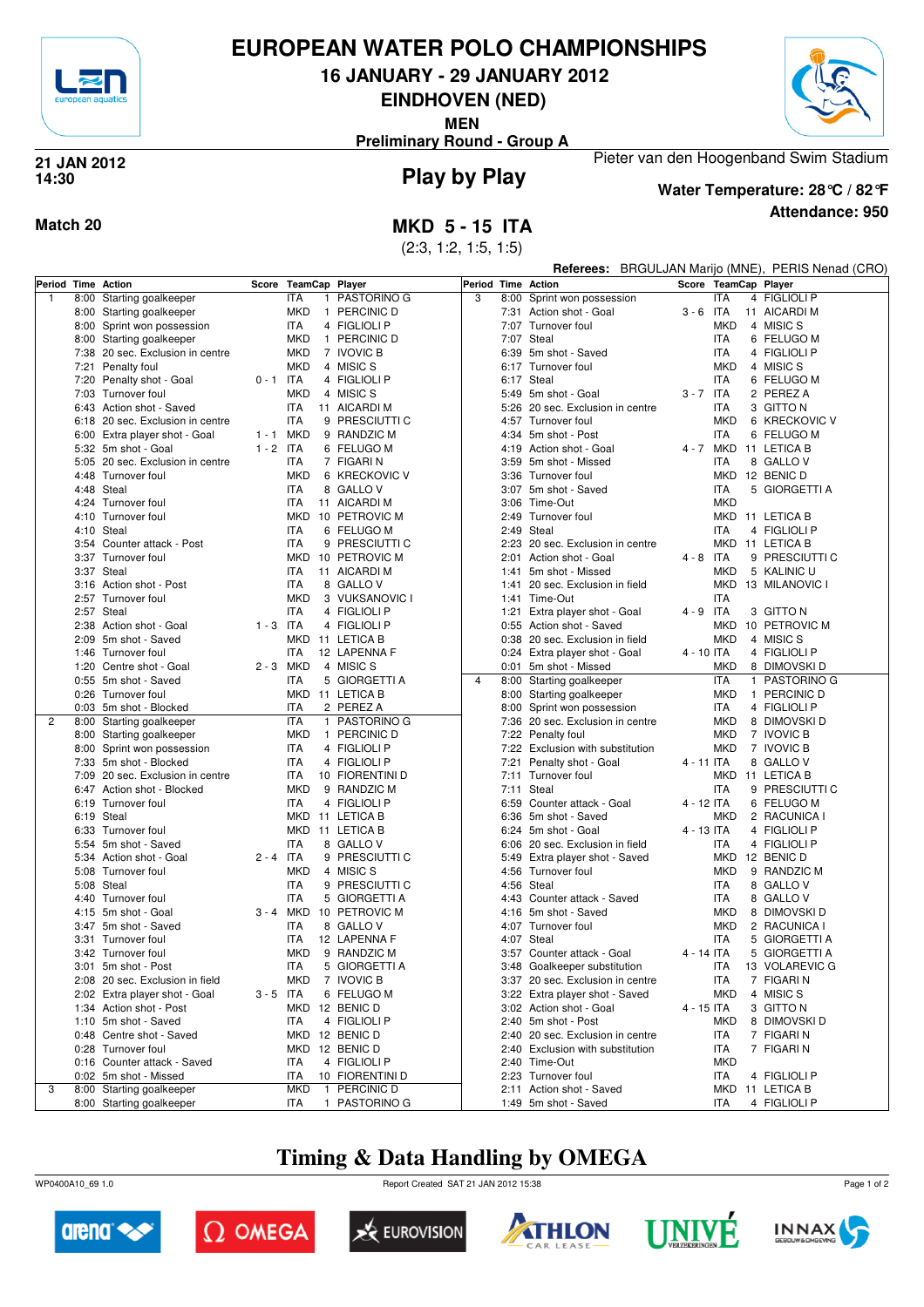

# **EUROPEAN WATER POLO CHAMPIONSHIPS**

**16 JANUARY - 29 JANUARY 2012**

**EINDHOVEN (NED)**

**MEN**

**Preliminary Round - Group A**

## **Play by Play 21 JAN 2012 14:30**



**Attendance: 950 Water Temperature: 28°C / 82°F**

## **Match 20 MKD 5 - 15 ITA**

(2:3, 1:2, 1:5, 1:5)

|                    |                                                        |             |                          |                            |                    |      |                                                                |             |            | Referees: BRGULJAN Marijo (MNE), PERIS Nenad (CRO) |
|--------------------|--------------------------------------------------------|-------------|--------------------------|----------------------------|--------------------|------|----------------------------------------------------------------|-------------|------------|----------------------------------------------------|
| Period Time Action |                                                        | Score       | TeamCap Player           |                            | Period Time Action |      |                                                                |             |            | Score TeamCap Player                               |
| $\overline{1}$     | 8:00 Starting goalkeeper                               |             | <b>ITA</b>               | 1 PASTORINO G              | 3                  |      | 8:00 Sprint won possession                                     |             | <b>ITA</b> | 4 FIGLIOLI P                                       |
|                    | 8:00 Starting goalkeeper                               |             | <b>MKD</b>               | 1 PERCINIC D               |                    |      | 7:31 Action shot - Goal                                        | $3 - 6$ ITA |            | 11 AICARDI M                                       |
|                    | 8:00 Sprint won possession                             |             | <b>ITA</b>               | 4 FIGLIOLI P               |                    |      | 7:07 Turnover foul                                             |             | <b>MKD</b> | 4 MISIC S                                          |
|                    | 8:00 Starting goalkeeper                               |             | <b>MKD</b>               | 1 PERCINIC D               |                    |      | 7:07 Steal                                                     |             | <b>ITA</b> | 6 FELUGO M                                         |
|                    | 7:38 20 sec. Exclusion in centre                       |             | <b>MKD</b>               | 7 IVOVIC B                 |                    | 6:39 | 5m shot - Saved                                                |             | <b>ITA</b> | 4 FIGLIOLI P                                       |
|                    | 7:21 Penalty foul                                      |             | MKD                      | 4 MISIC S                  |                    |      | 6:17 Turnover foul                                             |             | <b>MKD</b> | 4 MISIC S                                          |
|                    | 7:20 Penalty shot - Goal                               | $0 - 1$ ITA |                          | 4 FIGLIOLI P               |                    |      | 6:17 Steal                                                     |             | <b>ITA</b> | 6 FELUGO M                                         |
|                    | 7:03 Turnover foul                                     |             | <b>MKD</b>               | 4 MISIC S                  |                    |      | 5:49 5m shot - Goal                                            | $3 - 7$ ITA |            | 2 PEREZ A                                          |
|                    | 6:43 Action shot - Saved                               |             | <b>ITA</b>               | 11 AICARDI M               |                    |      | 5:26 20 sec. Exclusion in centre                               |             | ITA        | 3 GITTO N                                          |
|                    | 6:18 20 sec. Exclusion in centre                       |             | <b>ITA</b>               | 9 PRESCIUTTI C             |                    |      | 4:57 Turnover foul                                             |             | <b>MKD</b> | 6 KRECKOVIC V                                      |
|                    | 6:00 Extra player shot - Goal                          | 1 - 1 MKD   |                          | 9 RANDZIC M                |                    |      | 4:34 5m shot - Post                                            |             | ITA        | 6 FELUGO M                                         |
|                    | 5:32 5m shot - Goal                                    | $1 - 2$ ITA |                          | 6 FELUGO M                 |                    |      | 4:19 Action shot - Goal                                        |             | 4 - 7 MKD  | 11 LETICA B                                        |
|                    | 5:05 20 sec. Exclusion in centre                       |             | <b>ITA</b>               | 7 FIGARI N                 |                    |      | 3:59 5m shot - Missed                                          |             | <b>ITA</b> | 8 GALLO V                                          |
|                    | 4:48 Turnover foul                                     |             | <b>MKD</b>               | 6 KRECKOVIC V              |                    | 3:36 | Turnover foul                                                  |             | MKD        | 12 BENIC D                                         |
|                    | 4:48 Steal                                             |             | <b>ITA</b>               | 8 GALLO V                  |                    |      | 3:07 5m shot - Saved                                           |             | <b>ITA</b> | 5 GIORGETTI A                                      |
|                    | 4:24 Turnover foul                                     |             | <b>ITA</b>               | 11 AICARDI M               |                    |      | 3:06 Time-Out                                                  |             | <b>MKD</b> |                                                    |
|                    | 4:10 Turnover foul                                     |             | MKD                      | 10 PETROVIC M              |                    |      | 2:49 Turnover foul                                             |             | MKD        | 11 LETICA B                                        |
|                    | 4:10 Steal                                             |             | <b>ITA</b>               | 6 FELUGO M                 |                    |      | 2:49 Steal                                                     |             | ITA        | 4 FIGLIOLI P                                       |
|                    | 3:54 Counter attack - Post                             |             | <b>ITA</b>               | 9 PRESCIUTTI C             |                    |      | 2:23 20 sec. Exclusion in centre                               |             | MKD        | 11 LETICA B                                        |
|                    | 3:37 Turnover foul                                     |             | MKD                      | 10 PETROVIC M              |                    |      | 2:01 Action shot - Goal                                        | $4 - 8$ ITA |            | 9 PRESCIUTTI C                                     |
|                    | 3:37 Steal                                             |             | <b>ITA</b>               | 11 AICARDI M               |                    | 1:41 | 5m shot - Missed                                               |             | <b>MKD</b> | 5 KALINIC U                                        |
|                    | 3:16 Action shot - Post                                |             | <b>ITA</b>               | 8 GALLO V                  |                    |      | 1:41 20 sec. Exclusion in field                                |             | <b>MKD</b> | 13 MILANOVIC I                                     |
|                    | 2:57 Turnover foul                                     |             | <b>MKD</b>               | 3 VUKSANOVIC I             |                    |      | 1:41 Time-Out                                                  |             | <b>ITA</b> |                                                    |
|                    | 2:57 Steal                                             |             | <b>ITA</b>               | 4 FIGLIOLI P               |                    |      | 1:21 Extra player shot - Goal                                  | $4 - 9$ ITA |            | 3 GITTO N                                          |
|                    | 2:38 Action shot - Goal                                | $1 - 3$ ITA |                          | 4 FIGLIOLI P               |                    |      | 0:55 Action shot - Saved                                       |             | MKD        | 10 PETROVIC M                                      |
|                    | 2:09 5m shot - Saved                                   |             | MKD                      | 11 LETICA B                |                    |      | 0:38 20 sec. Exclusion in field                                |             | <b>MKD</b> | 4 MISIC S                                          |
|                    | 1:46 Turnover foul                                     |             | <b>ITA</b>               | 12 LAPENNA F               |                    |      | 0:24 Extra player shot - Goal                                  | 4 - 10 ITA  |            | 4 FIGLIOLI P                                       |
|                    | 1:20 Centre shot - Goal                                | 2 - 3 MKD   |                          | 4 MISIC S                  |                    |      | 0:01 5m shot - Missed                                          |             | <b>MKD</b> | 8 DIMOVSKI D                                       |
|                    | 0:55 5m shot - Saved                                   |             | <b>ITA</b>               | 5 GIORGETTI A              | $\overline{4}$     |      | 8:00 Starting goalkeeper                                       |             | <b>ITA</b> | 1 PASTORINO G                                      |
|                    | 0:26 Turnover foul                                     |             |                          | MKD 11 LETICA B            |                    |      | 8:00 Starting goalkeeper                                       |             | <b>MKD</b> | 1 PERCINIC D                                       |
| 2                  | 0:03 5m shot - Blocked                                 |             | <b>ITA</b><br><b>ITA</b> | 2 PEREZ A<br>1 PASTORINO G |                    |      | 8:00 Sprint won possession<br>7:36 20 sec. Exclusion in centre |             | ITA        | 4 FIGLIOLI P<br>8 DIMOVSKI D                       |
|                    | 8:00 Starting goalkeeper                               |             | <b>MKD</b>               | 1 PERCINIC D               |                    |      |                                                                |             | MKD<br>MKD | 7 IVOVIC B                                         |
|                    | 8:00 Starting goalkeeper<br>8:00 Sprint won possession |             | <b>ITA</b>               | 4 FIGLIOLI P               |                    |      | 7:22 Penalty foul                                              |             | MKD        | 7 IVOVIC B                                         |
|                    | 7:33 5m shot - Blocked                                 |             | <b>ITA</b>               | 4 FIGLIOLI P               |                    | 7:21 | 7:22 Exclusion with substitution<br>Penalty shot - Goal        | 4 - 11 ITA  |            | 8 GALLO V                                          |
|                    | 7:09 20 sec. Exclusion in centre                       |             | <b>ITA</b>               | 10 FIORENTINI D            |                    |      | 7:11 Turnover foul                                             |             | MKD        | 11 LETICA B                                        |
|                    | 6:47 Action shot - Blocked                             |             | <b>MKD</b>               | 9 RANDZIC M                |                    |      | 7:11 Steal                                                     |             | <b>ITA</b> | 9 PRESCIUTTI C                                     |
|                    | 6:19 Turnover foul                                     |             | <b>ITA</b>               | 4 FIGLIOLI P               |                    |      | 6:59 Counter attack - Goal                                     | 4 - 12 ITA  |            | 6 FELUGO M                                         |
|                    | 6:19 Steal                                             |             |                          | MKD 11 LETICA B            |                    |      | 6:36 5m shot - Saved                                           |             | <b>MKD</b> | 2 RACUNICA                                         |
|                    | 6:33 Turnover foul                                     |             |                          | MKD 11 LETICA B            |                    |      | 6:24 5m shot - Goal                                            | 4 - 13 ITA  |            | 4 FIGLIOLI P                                       |
|                    | 5:54 5m shot - Saved                                   |             | <b>ITA</b>               | 8 GALLO V                  |                    |      | 6:06 20 sec. Exclusion in field                                |             | ITA        | 4 FIGLIOLI P                                       |
|                    | 5:34 Action shot - Goal                                | $2 - 4$ ITA |                          | 9 PRESCIUTTI C             |                    |      | 5:49 Extra player shot - Saved                                 |             | MKD        | 12 BENIC D                                         |
|                    | 5:08 Turnover foul                                     |             | <b>MKD</b>               | 4 MISIC S                  |                    | 4:56 | Turnover foul                                                  |             | <b>MKD</b> | 9 RANDZIC M                                        |
|                    | 5:08 Steal                                             |             | <b>ITA</b>               | 9 PRESCIUTTI C             |                    |      | 4:56 Steal                                                     |             | ITA        | 8 GALLO V                                          |
|                    | 4:40 Turnover foul                                     |             | <b>ITA</b>               | 5 GIORGETTI A              |                    |      | 4:43 Counter attack - Saved                                    |             | ITA        | 8 GALLO V                                          |
|                    | 4:15 5m shot - Goal                                    |             |                          | 3 - 4 MKD 10 PETROVIC M    |                    |      | 4:16 5m shot - Saved                                           |             | MKD        | 8 DIMOVSKI D                                       |
|                    | 3:47 5m shot - Saved                                   |             | ITA                      | 8 GALLO V                  |                    |      | 4:07 Turnover foul                                             |             | MKD        | 2 RACUNICA I                                       |
|                    | 3:31 Turnover foul                                     |             | <b>ITA</b>               | 12 LAPENNA F               |                    |      | 4:07 Steal                                                     |             | ITA        | 5 GIORGETTI A                                      |
|                    | 3:42 Turnover foul                                     |             | <b>MKD</b>               | 9 RANDZIC M                |                    |      | 3:57 Counter attack - Goal                                     | 4 - 14 ITA  |            | 5 GIORGETTI A                                      |
|                    | 3:01 5m shot - Post                                    |             | ITA                      | 5 GIORGETTI A              |                    |      | 3:48 Goalkeeper substitution                                   |             | ITA        | 13 VOLAREVIC G                                     |
|                    | 2:08 20 sec. Exclusion in field                        |             | MKD                      | 7 IVOVIC B                 |                    |      | 3:37 20 sec. Exclusion in centre                               |             | ITA        | 7 FIGARI N                                         |
|                    | 2:02 Extra player shot - Goal                          | $3 - 5$ ITA |                          | 6 FELUGO M                 |                    |      | 3:22 Extra player shot - Saved                                 |             | <b>MKD</b> | 4 MISIC S                                          |
|                    | 1:34 Action shot - Post                                |             |                          | MKD 12 BENIC D             |                    |      | 3:02 Action shot - Goal                                        | 4 - 15 ITA  |            | 3 GITTO N                                          |
|                    | 1:10 5m shot - Saved                                   |             | <b>ITA</b>               | 4 FIGLIOLI P               |                    |      | 2:40 5m shot - Post                                            |             | <b>MKD</b> | 8 DIMOVSKI D                                       |
|                    | 0:48 Centre shot - Saved                               |             |                          | MKD 12 BENIC D             |                    |      | 2:40 20 sec. Exclusion in centre                               |             | ITA        | 7 FIGARI N                                         |
|                    | 0:28 Turnover foul                                     |             |                          | MKD 12 BENIC D             |                    |      | 2:40 Exclusion with substitution                               |             | ITA        | 7 FIGARI N                                         |
|                    | 0:16 Counter attack - Saved                            |             | ITA                      | 4 FIGLIOLI P               |                    |      | 2:40 Time-Out                                                  |             | <b>MKD</b> |                                                    |
|                    | 0:02 5m shot - Missed                                  |             | ITA                      | 10 FIORENTINI D            |                    |      | 2:23 Turnover foul                                             |             | ITA        | 4 FIGLIOLI P                                       |
| 3                  | 8:00 Starting goalkeeper                               |             | <b>MKD</b>               | 1 PERCINIC D               |                    |      | 2:11 Action shot - Saved                                       |             |            | MKD 11 LETICA B                                    |
|                    | 8:00 Starting goalkeeper                               |             | ITA                      | 1 PASTORINO G              |                    |      | 1:49 5m shot - Saved                                           |             | ITA        | 4 FIGLIOLI P                                       |

# **Timing & Data Handling by OMEGA**

WP0400A10\_69 1.0 Report Created SAT 21 JAN 2012 15:38













Page 1 of 2

Pieter van den Hoogenband Swim Stadium